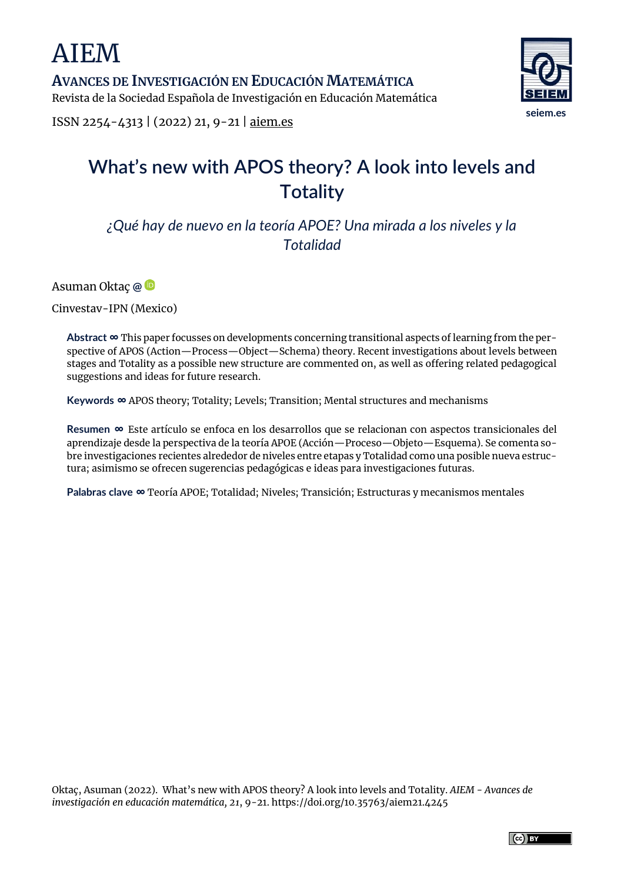AIEM

**AVANCES DE INVESTIGACIÓN EN EDUCACIÓN MATEMÁTICA** Revista de la Sociedad Española de Investigación en Educación Matemática



ISSN 2254-4313 | (2022) 21, 9-21 | [aiem.es](https://www.aiem.es/)

# **What's new with APOS theory? A look into levels and Totality**

*¿Qué hay de nuevo en la teoría APOE? Una mirada a los niveles y la Totalidad*

Asuman Oktaç **[@](mailto:oktac@cinvestav.mx)**

Cinvestav-IPN (Mexico)

**Abstract ∞** This paper focusses on developments concerning transitional aspects of learning from the perspective of APOS (Action—Process—Object—Schema) theory. Recent investigations about levels between stages and Totality as a possible new structure are commented on, as well as offering related pedagogical suggestions and ideas for future research.

**Keywords ∞** APOS theory; Totality; Levels; Transition; Mental structures and mechanisms

**Resumen ∞** Este artículo se enfoca en los desarrollos que se relacionan con aspectos transicionales del aprendizaje desde la perspectiva de la teoría APOE (Acción—Proceso—Objeto—Esquema). Se comenta sobre investigaciones recientes alrededor de niveles entre etapas y Totalidad como una posible nueva estructura; asimismo se ofrecen sugerencias pedagógicas e ideas para investigaciones futuras.

**Palabras clave ∞** Teoría APOE; Totalidad; Niveles; Transición; Estructuras y mecanismos mentales

Oktaç, Asuman (2022). What's new with APOS theory? A look into levels and Totality. *AIEM - Avances de investigación en educación matemática, 21*, 9-21. https://doi.org/10.35763/aiem21.4245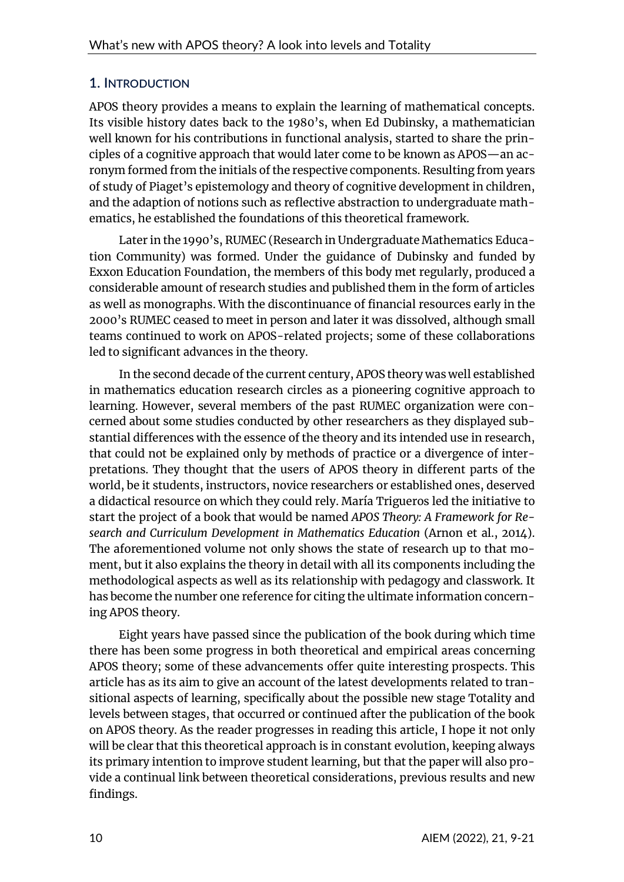## **1. INTRODUCTION**

APOS theory provides a means to explain the learning of mathematical concepts. Its visible history dates back to the 1980's, when Ed Dubinsky, a mathematician well known for his contributions in functional analysis, started to share the principles of a cognitive approach that would later come to be known as APOS—an acronym formed from the initials of the respective components. Resulting from years of study of Piaget's epistemology and theory of cognitive development in children, and the adaption of notions such as reflective abstraction to undergraduate mathematics, he established the foundations of this theoretical framework.

Later in the 1990's, RUMEC (Research in Undergraduate Mathematics Education Community) was formed. Under the guidance of Dubinsky and funded by Exxon Education Foundation, the members of this body met regularly, produced a considerable amount of research studies and published them in the form of articles as well as monographs. With the discontinuance of financial resources early in the 2000's RUMEC ceased to meet in person and later it was dissolved, although small teams continued to work on APOS-related projects; some of these collaborations led to significant advances in the theory.

In the second decade of the current century, APOS theory was well established in mathematics education research circles as a pioneering cognitive approach to learning. However, several members of the past RUMEC organization were concerned about some studies conducted by other researchers as they displayed substantial differences with the essence of the theory and its intended use in research, that could not be explained only by methods of practice or a divergence of interpretations. They thought that the users of APOS theory in different parts of the world, be it students, instructors, novice researchers or established ones, deserved a didactical resource on which they could rely. María Trigueros led the initiative to start the project of a book that would be named *APOS Theory: A Framework for Research and Curriculum Development in Mathematics Education* (Arnon et al., 2014). The aforementioned volume not only shows the state of research up to that moment, but it also explains the theory in detail with all its components including the methodological aspects as well as its relationship with pedagogy and classwork. It has become the number one reference for citing the ultimate information concerning APOS theory.

Eight years have passed since the publication of the book during which time there has been some progress in both theoretical and empirical areas concerning APOS theory; some of these advancements offer quite interesting prospects. This article has as its aim to give an account of the latest developments related to transitional aspects of learning, specifically about the possible new stage Totality and levels between stages, that occurred or continued after the publication of the book on APOS theory. As the reader progresses in reading this article, I hope it not only will be clear that this theoretical approach is in constant evolution, keeping always its primary intention to improve student learning, but that the paper will also provide a continual link between theoretical considerations, previous results and new findings.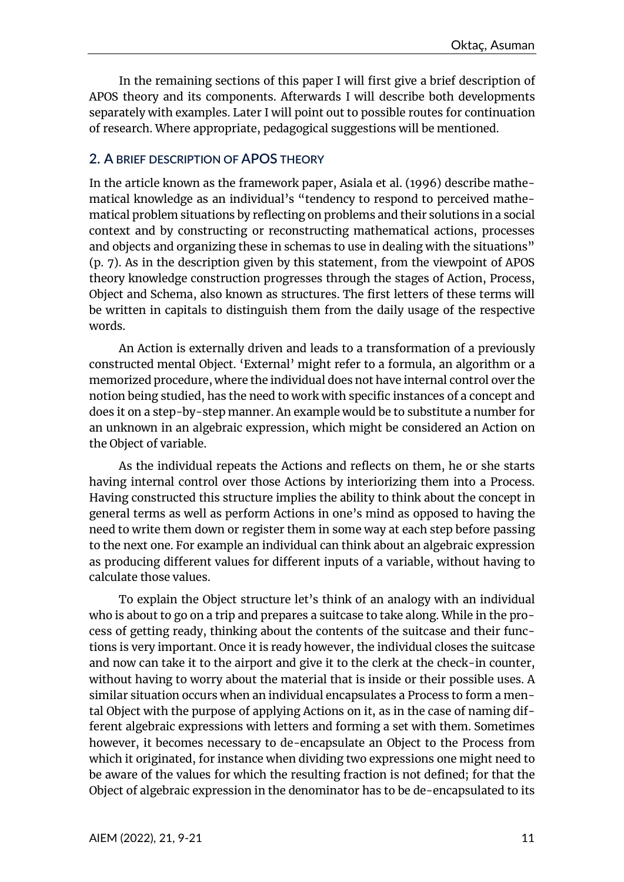In the remaining sections of this paper I will first give a brief description of APOS theory and its components. Afterwards I will describe both developments separately with examples. Later I will point out to possible routes for continuation of research. Where appropriate, pedagogical suggestions will be mentioned.

### **2. A BRIEF DESCRIPTION OF APOS THEORY**

In the article known as the framework paper, Asiala et al. (1996) describe mathematical knowledge as an individual's "tendency to respond to perceived mathematical problem situations by reflecting on problems and their solutions in a social context and by constructing or reconstructing mathematical actions, processes and objects and organizing these in schemas to use in dealing with the situations" (p. 7). As in the description given by this statement, from the viewpoint of APOS theory knowledge construction progresses through the stages of Action, Process, Object and Schema, also known as structures. The first letters of these terms will be written in capitals to distinguish them from the daily usage of the respective words.

An Action is externally driven and leads to a transformation of a previously constructed mental Object. 'External' might refer to a formula, an algorithm or a memorized procedure, where the individual does not have internal control over the notion being studied, has the need to work with specific instances of a concept and does it on a step-by-step manner. An example would be to substitute a number for an unknown in an algebraic expression, which might be considered an Action on the Object of variable.

As the individual repeats the Actions and reflects on them, he or she starts having internal control over those Actions by interiorizing them into a Process. Having constructed this structure implies the ability to think about the concept in general terms as well as perform Actions in one's mind as opposed to having the need to write them down or register them in some way at each step before passing to the next one. For example an individual can think about an algebraic expression as producing different values for different inputs of a variable, without having to calculate those values.

To explain the Object structure let's think of an analogy with an individual who is about to go on a trip and prepares a suitcase to take along. While in the process of getting ready, thinking about the contents of the suitcase and their functions is very important. Once it is ready however, the individual closes the suitcase and now can take it to the airport and give it to the clerk at the check-in counter, without having to worry about the material that is inside or their possible uses. A similar situation occurs when an individual encapsulates a Process to form a mental Object with the purpose of applying Actions on it, as in the case of naming different algebraic expressions with letters and forming a set with them. Sometimes however, it becomes necessary to de-encapsulate an Object to the Process from which it originated, for instance when dividing two expressions one might need to be aware of the values for which the resulting fraction is not defined; for that the Object of algebraic expression in the denominator has to be de-encapsulated to its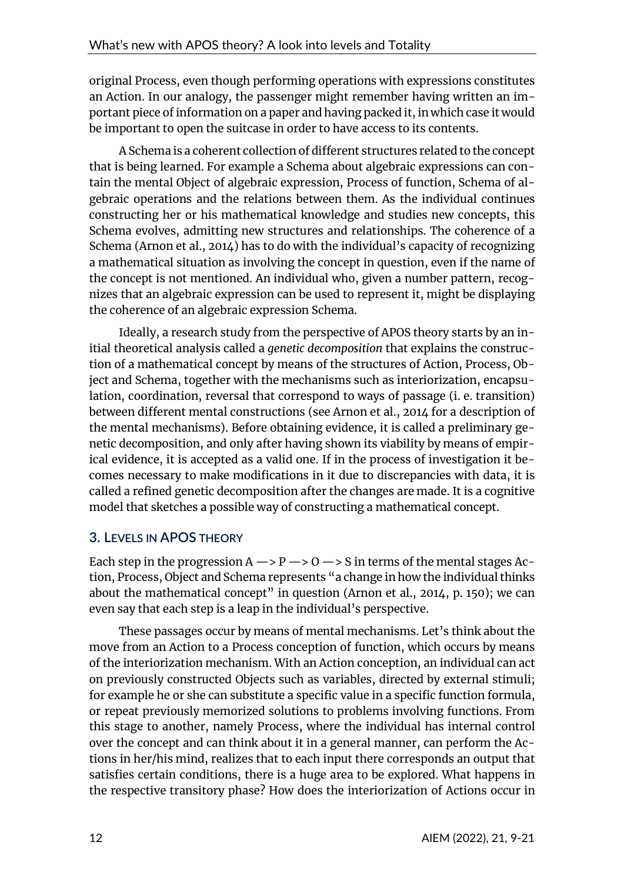original Process, even though performing operations with expressions constitutes an Action. In our analogy, the passenger might remember having written an important piece of information on a paper and having packed it, in which case it would be important to open the suitcase in order to have access to its contents.

A Schema is a coherent collection of different structures related to the concept that is being learned. For example a Schema about algebraic expressions can contain the mental Object of algebraic expression, Process of function, Schema of algebraic operations and the relations between them. As the individual continues constructing her or his mathematical knowledge and studies new concepts, this Schema evolves, admitting new structures and relationships. The coherence of a Schema (Arnon et al., 2014) has to do with the individual's capacity of recognizing a mathematical situation as involving the concept in question, even if the name of the concept is not mentioned. An individual who, given a number pattern, recognizes that an algebraic expression can be used to represent it, might be displaying the coherence of an algebraic expression Schema.

Ideally, a research study from the perspective of APOS theory starts by an initial theoretical analysis called a *genetic decomposition* that explains the construction of a mathematical concept by means of the structures of Action, Process, Object and Schema, together with the mechanisms such as interiorization, encapsulation, coordination, reversal that correspond to ways of passage (i. e. transition) between different mental constructions (see Arnon et al., 2014 for a description of the mental mechanisms). Before obtaining evidence, it is called a preliminary genetic decomposition, and only after having shown its viability by means of empirical evidence, it is accepted as a valid one. If in the process of investigation it becomes necessary to make modifications in it due to discrepancies with data, it is called a refined genetic decomposition after the changes are made. It is a cognitive model that sketches a possible way of constructing a mathematical concept.

## **3. LEVELS IN APOS THEORY**

Each step in the progression  $A \rightarrow P \rightarrow O \rightarrow S$  in terms of the mental stages Action, Process, Object and Schema represents "a change inhow the individual thinks about the mathematical concept" in question (Arnon et al., 2014, p. 150); we can even say that each step is a leap in the individual's perspective.

These passages occur by means of mental mechanisms. Let's think about the move from an Action to a Process conception of function, which occurs by means of the interiorization mechanism. With an Action conception, an individual can act on previously constructed Objects such as variables, directed by external stimuli; for example he or she can substitute a specific value in a specific function formula, or repeat previously memorized solutions to problems involving functions. From this stage to another, namely Process, where the individual has internal control over the concept and can think about it in a general manner, can perform the Actions in her/his mind, realizes that to each input there corresponds an output that satisfies certain conditions, there is a huge area to be explored. What happens in the respective transitory phase? How does the interiorization of Actions occur in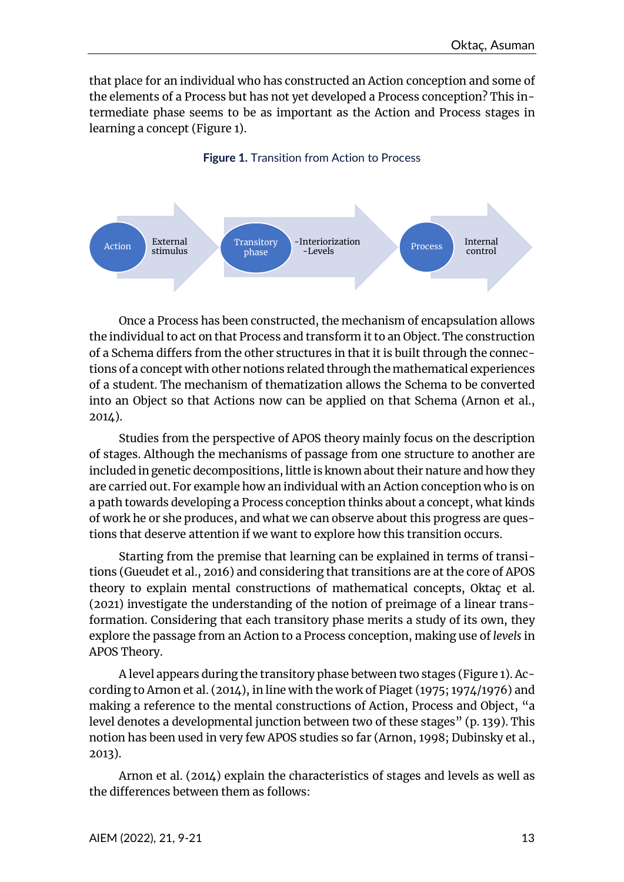that place for an individual who has constructed an Action conception and some of the elements of a Process but has not yet developed a Process conception? This intermediate phase seems to be as important as the Action and Process stages in learning a concept (Figure 1).

#### **Figure 1.** Transition from Action to Process



Once a Process has been constructed, the mechanism of encapsulation allows the individual to act on that Process and transform it to an Object. The construction of a Schema differs from the other structures in that it is built through the connections of a concept with other notions related through the mathematical experiences of a student. The mechanism of thematization allows the Schema to be converted into an Object so that Actions now can be applied on that Schema (Arnon et al., 2014).

Studies from the perspective of APOS theory mainly focus on the description of stages. Although the mechanisms of passage from one structure to another are included in genetic decompositions, little is known about their nature and how they are carried out. For example how an individual with an Action conception who is on a path towards developing a Process conception thinks about a concept, what kinds of work he or she produces, and what we can observe about this progress are questions that deserve attention if we want to explore how this transition occurs.

Starting from the premise that learning can be explained in terms of transitions (Gueudet et al., 2016) and considering that transitions are at the core of APOS theory to explain mental constructions of mathematical concepts, Oktaç et al. (2021) investigate the understanding of the notion of preimage of a linear transformation. Considering that each transitory phase merits a study of its own, they explore the passage from an Action to a Process conception, making use of *levels* in APOS Theory.

A level appears during the transitory phase between two stages (Figure 1). According to Arnon et al. (2014), in line with the work of Piaget (1975; 1974/1976) and making a reference to the mental constructions of Action, Process and Object, "a level denotes a developmental junction between two of these stages" (p. 139). This notion has been used in very few APOS studies so far (Arnon, 1998; Dubinsky et al., 2013).

Arnon et al. (2014) explain the characteristics of stages and levels as well as the differences between them as follows: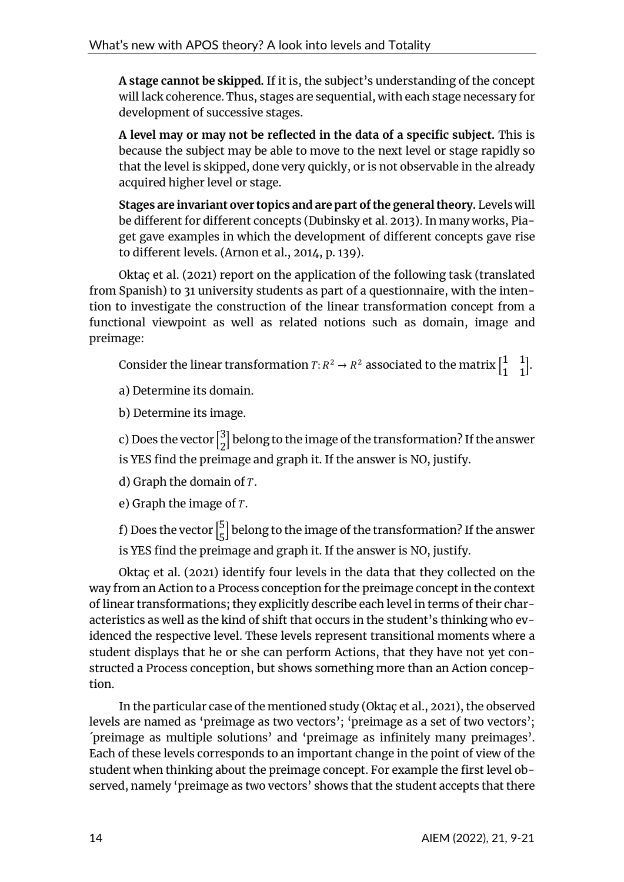**A stage cannot be skipped.** If it is, the subject's understanding of the concept will lack coherence. Thus, stages are sequential, with each stage necessary for development of successive stages.

**A level may or may not be reflected in the data of a specific subject.** This is because the subject may be able to move to the next level or stage rapidly so that the level is skipped, done very quickly, or is not observable in the already acquired higher level or stage.

**Stages are invariant over topics and are part of the general theory.** Levels will be different for different concepts (Dubinsky et al. 2013). In many works, Piaget gave examples in which the development of different concepts gave rise to different levels. (Arnon et al., 2014, p. 139).

Oktaç et al. (2021) report on the application of the following task (translated from Spanish) to 31 university students as part of a questionnaire, with the intention to investigate the construction of the linear transformation concept from a functional viewpoint as well as related notions such as domain, image and preimage:

Consider the linear transformation  $T: R^2 \to R^2$  associated to the matrix  $\begin{bmatrix} 1 & 1 \ 1 & 1 \end{bmatrix}$  $\begin{bmatrix} 1 & 1 \\ 1 & 1 \end{bmatrix}$ .

a) Determine its domain.

b) Determine its image.

c) Does the vector  $\binom{3}{2}$  $\frac{3}{2}$ ] belong to the image of the transformation? If the answer is YES find the preimage and graph it. If the answer is NO, justify.

d) Graph the domain of  $T$ .

e) Graph the image of  $T$ .

f) Does the vector  $\vert \frac{5}{5} \vert$  $\frac{5}{5}$ ] belong to the image of the transformation? If the answer is YES find the preimage and graph it. If the answer is NO, justify.

Oktaç et al. (2021) identify four levels in the data that they collected on the way from an Action to a Process conception for the preimage concept in the context of linear transformations; they explicitly describe each level in terms of their characteristics as well as the kind of shift that occurs in the student's thinking who evidenced the respective level. These levels represent transitional moments where a student displays that he or she can perform Actions, that they have not yet constructed a Process conception, but shows something more than an Action conception.

In the particular case of the mentioned study (Oktaç et al., 2021), the observed levels are named as 'preimage as two vectors'; 'preimage as a set of two vectors'; ´preimage as multiple solutions' and 'preimage as infinitely many preimages'. Each of these levels corresponds to an important change in the point of view of the student when thinking about the preimage concept. For example the first level observed, namely 'preimage as two vectors' shows that the student accepts that there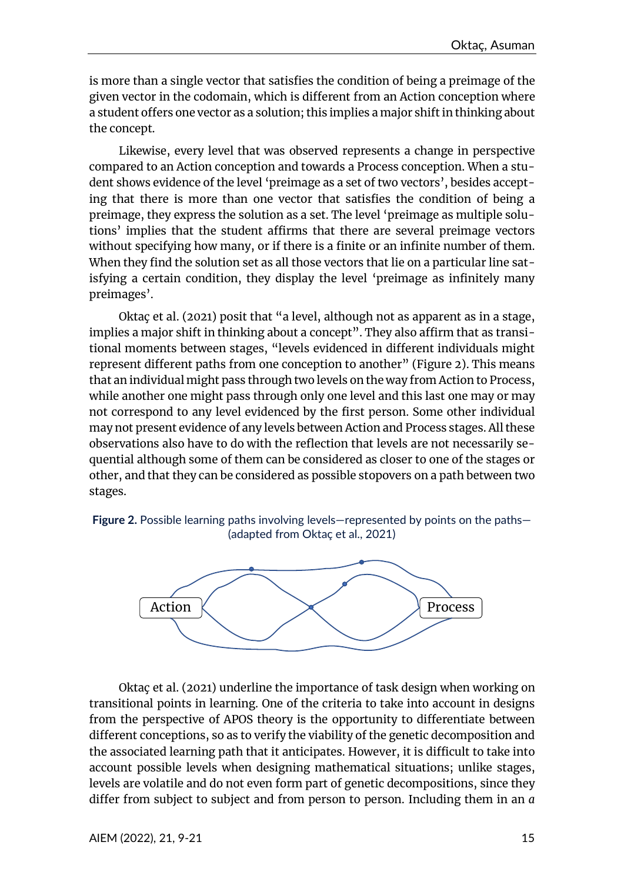is more than a single vector that satisfies the condition of being a preimage of the given vector in the codomain, which is different from an Action conception where a student offers one vector as a solution; this implies a major shift in thinking about the concept.

Likewise, every level that was observed represents a change in perspective compared to an Action conception and towards a Process conception. When a student shows evidence of the level 'preimage as a set of two vectors', besides accepting that there is more than one vector that satisfies the condition of being a preimage, they express the solution as a set. The level 'preimage as multiple solutions' implies that the student affirms that there are several preimage vectors without specifying how many, or if there is a finite or an infinite number of them. When they find the solution set as all those vectors that lie on a particular line satisfying a certain condition, they display the level 'preimage as infinitely many preimages'.

Oktaç et al. (2021) posit that "a level, although not as apparent as in a stage, implies a major shift in thinking about a concept". They also affirm that as transitional moments between stages, "levels evidenced in different individuals might represent different paths from one conception to another" (Figure 2). This means that an individual might pass through two levels on the way from Action to Process, while another one might pass through only one level and this last one may or may not correspond to any level evidenced by the first person. Some other individual may not present evidence of any levels between Action and Process stages. All these observations also have to do with the reflection that levels are not necessarily sequential although some of them can be considered as closer to one of the stages or other, and that they can be considered as possible stopovers on a path between two stages.





Oktaç et al. (2021) underline the importance of task design when working on transitional points in learning. One of the criteria to take into account in designs from the perspective of APOS theory is the opportunity to differentiate between different conceptions, so as to verify the viability of the genetic decomposition and the associated learning path that it anticipates. However, it is difficult to take into account possible levels when designing mathematical situations; unlike stages, levels are volatile and do not even form part of genetic decompositions, since they differ from subject to subject and from person to person. Including them in an *a*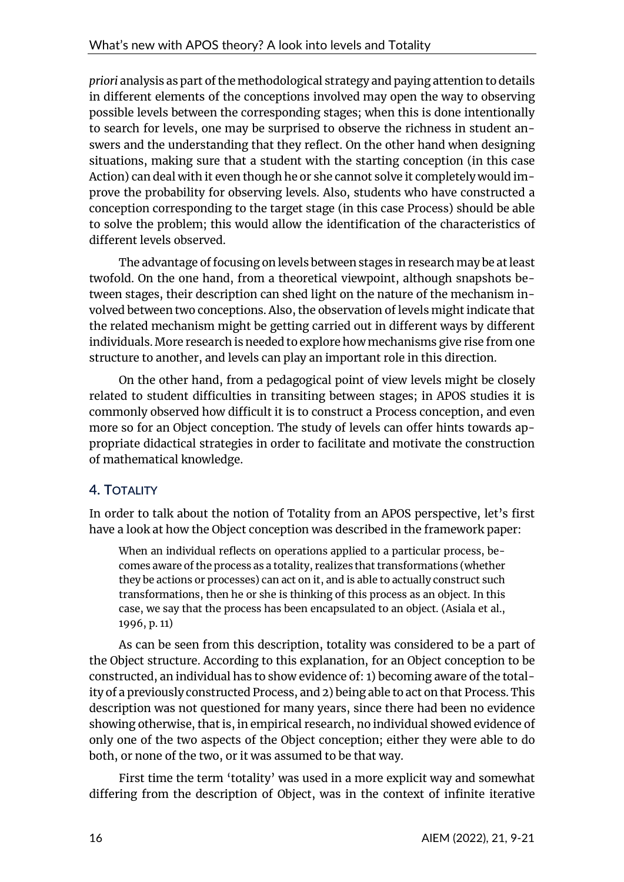*priori* analysis as part of the methodological strategy and paying attention to details in different elements of the conceptions involved may open the way to observing possible levels between the corresponding stages; when this is done intentionally to search for levels, one may be surprised to observe the richness in student answers and the understanding that they reflect. On the other hand when designing situations, making sure that a student with the starting conception (in this case Action) can deal with it even though he or she cannot solve it completely would improve the probability for observing levels. Also, students who have constructed a conception corresponding to the target stage (in this case Process) should be able to solve the problem; this would allow the identification of the characteristics of different levels observed.

The advantage of focusing on levels between stages in research may be at least twofold. On the one hand, from a theoretical viewpoint, although snapshots between stages, their description can shed light on the nature of the mechanism involved between two conceptions. Also, the observation of levels might indicate that the related mechanism might be getting carried out in different ways by different individuals. More research is needed to explore how mechanisms give rise from one structure to another, and levels can play an important role in this direction.

On the other hand, from a pedagogical point of view levels might be closely related to student difficulties in transiting between stages; in APOS studies it is commonly observed how difficult it is to construct a Process conception, and even more so for an Object conception. The study of levels can offer hints towards appropriate didactical strategies in order to facilitate and motivate the construction of mathematical knowledge.

# **4. TOTALITY**

In order to talk about the notion of Totality from an APOS perspective, let's first have a look at how the Object conception was described in the framework paper:

When an individual reflects on operations applied to a particular process, becomes aware of the process as a totality, realizes that transformations (whether they be actions or processes) can act on it, and is able to actually construct such transformations, then he or she is thinking of this process as an object. In this case, we say that the process has been encapsulated to an object. (Asiala et al., 1996, p. 11)

As can be seen from this description, totality was considered to be a part of the Object structure. According to this explanation, for an Object conception to be constructed, an individual has to show evidence of: 1) becoming aware of the totality of a previously constructed Process, and 2) being able to act on that Process.This description was not questioned for many years, since there had been no evidence showing otherwise, that is, in empirical research, no individual showed evidence of only one of the two aspects of the Object conception; either they were able to do both, or none of the two, or it was assumed to be that way.

First time the term 'totality' was used in a more explicit way and somewhat differing from the description of Object, was in the context of infinite iterative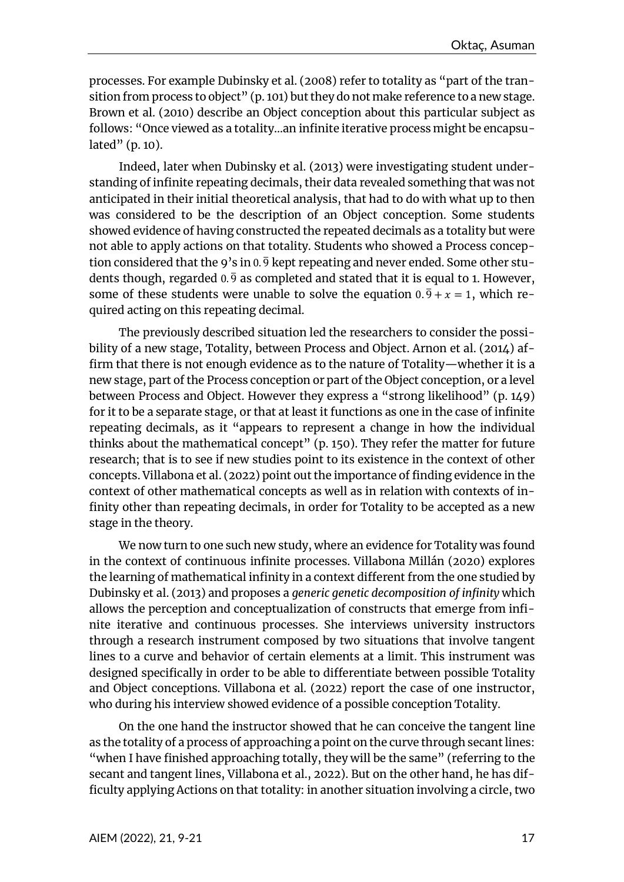processes. For example Dubinsky et al. (2008) refer to totality as "part of the transition from process to object" (p. 101) but they do not make reference to a new stage. Brown et al. (2010) describe an Object conception about this particular subject as follows: "Once viewed as a totality…an infinite iterative process might be encapsulated" (p. 10).

Indeed, later when Dubinsky et al. (2013) were investigating student understanding of infinite repeating decimals, their data revealed something that was not anticipated in their initial theoretical analysis, that had to do with what up to then was considered to be the description of an Object conception. Some students showed evidence of having constructed the repeated decimals as a totality but were not able to apply actions on that totality. Students who showed a Process conception considered that the 9's in  $0.\overline{9}$  kept repeating and never ended. Some other students though, regarded  $0.\overline{9}$  as completed and stated that it is equal to 1. However, some of these students were unable to solve the equation  $0.\overline{9} + x = 1$ , which required acting on this repeating decimal.

The previously described situation led the researchers to consider the possibility of a new stage, Totality, between Process and Object. Arnon et al. (2014) affirm that there is not enough evidence as to the nature of Totality—whether it is a new stage, part of the Process conception or part of the Object conception, or a level between Process and Object. However they express a "strong likelihood" (p. 149) for it to be a separate stage, or that at least it functions as one in the case of infinite repeating decimals, as it "appears to represent a change in how the individual thinks about the mathematical concept" (p. 150). They refer the matter for future research; that is to see if new studies point to its existence in the context of other concepts. Villabona et al. (2022) point out the importance of finding evidence in the context of other mathematical concepts as well as in relation with contexts of infinity other than repeating decimals, in order for Totality to be accepted as a new stage in the theory.

We now turn to one such new study, where an evidence for Totality was found in the context of continuous infinite processes. Villabona Millán (2020) explores the learning of mathematical infinity in a context different from the one studied by Dubinsky et al. (2013) and proposes a *generic genetic decomposition of infinity* which allows the perception and conceptualization of constructs that emerge from infinite iterative and continuous processes. She interviews university instructors through a research instrument composed by two situations that involve tangent lines to a curve and behavior of certain elements at a limit. This instrument was designed specifically in order to be able to differentiate between possible Totality and Object conceptions. Villabona et al. (2022) report the case of one instructor, who during his interview showed evidence of a possible conception Totality.

On the one hand the instructor showed that he can conceive the tangent line as the totality of a process of approaching a point on the curve through secant lines: "when I have finished approaching totally, they will be the same" (referring to the secant and tangent lines, Villabona et al., 2022). But on the other hand, he has difficulty applying Actions on that totality: in another situation involving a circle, two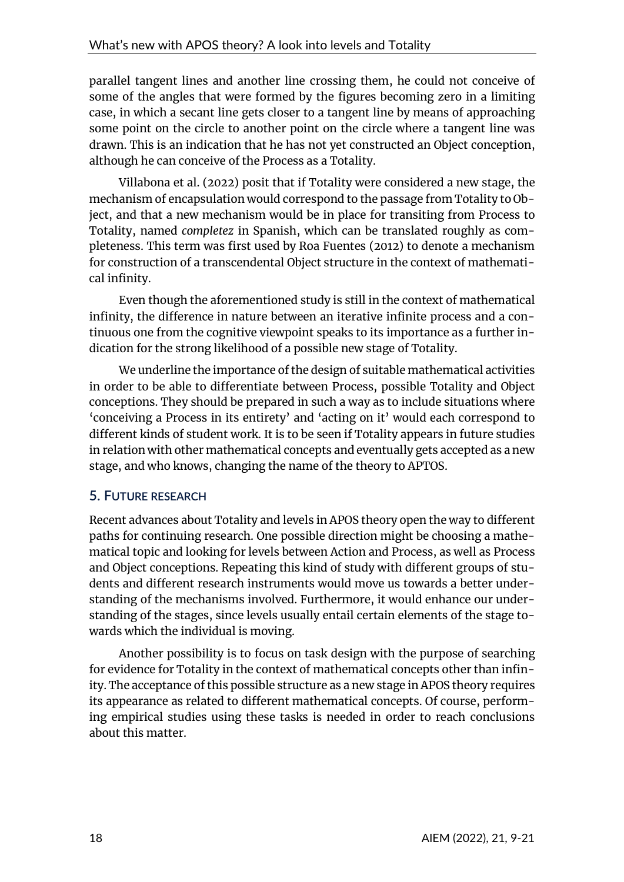parallel tangent lines and another line crossing them, he could not conceive of some of the angles that were formed by the figures becoming zero in a limiting case, in which a secant line gets closer to a tangent line by means of approaching some point on the circle to another point on the circle where a tangent line was drawn. This is an indication that he has not yet constructed an Object conception, although he can conceive of the Process as a Totality.

Villabona et al. (2022) posit that if Totality were considered a new stage, the mechanism of encapsulation would correspond to the passage from Totality to Object, and that a new mechanism would be in place for transiting from Process to Totality, named *completez* in Spanish, which can be translated roughly as completeness. This term was first used by Roa Fuentes (2012) to denote a mechanism for construction of a transcendental Object structure in the context of mathematical infinity.

Even though the aforementioned study is still in the context of mathematical infinity, the difference in nature between an iterative infinite process and a continuous one from the cognitive viewpoint speaks to its importance as a further indication for the strong likelihood of a possible new stage of Totality.

We underline the importance of the design of suitable mathematical activities in order to be able to differentiate between Process, possible Totality and Object conceptions. They should be prepared in such a way as to include situations where 'conceiving a Process in its entirety' and 'acting on it' would each correspond to different kinds of student work. It is to be seen if Totality appears in future studies in relation with other mathematical concepts and eventually gets accepted as a new stage, and who knows, changing the name of the theory to APTOS.

## **5. FUTURE RESEARCH**

Recent advances about Totality and levels in APOS theory open the way to different paths for continuing research. One possible direction might be choosing a mathematical topic and looking for levels between Action and Process, as well as Process and Object conceptions. Repeating this kind of study with different groups of students and different research instruments would move us towards a better understanding of the mechanisms involved. Furthermore, it would enhance our understanding of the stages, since levels usually entail certain elements of the stage towards which the individual is moving.

Another possibility is to focus on task design with the purpose of searching for evidence for Totality in the context of mathematical concepts other than infinity.The acceptance of this possible structure as a new stage in APOS theory requires its appearance as related to different mathematical concepts. Of course, performing empirical studies using these tasks is needed in order to reach conclusions about this matter.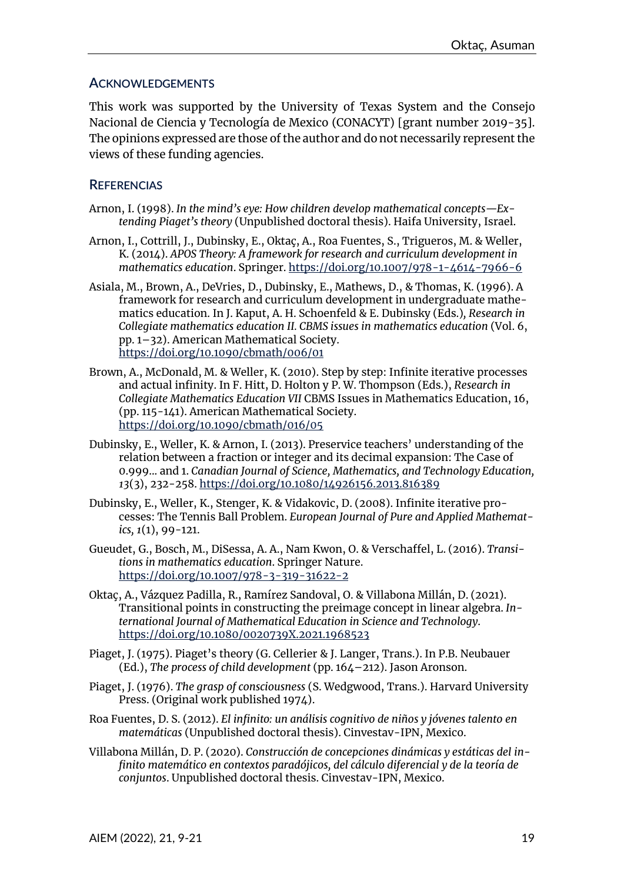### **ACKNOWLEDGEMENTS**

This work was supported by the University of Texas System and the Consejo Nacional de Ciencia y Tecnología de Mexico (CONACYT) [grant number 2019-35]. The opinions expressed are those of the author and do not necessarily represent the views of these funding agencies.

### **REFERENCIAS**

- Arnon, I. (1998). *In the mind's eye: How children develop mathematical concepts—Extending Piaget's theory* (Unpublished doctoral thesis). Haifa University, Israel.
- Arnon, I., Cottrill, J., Dubinsky, E., Oktaç, A., Roa Fuentes, S., Trigueros, M. & Weller, K. (2014). *APOS Theory: A framework for research and curriculum development in mathematics education*. Springer. <https://doi.org/10.1007/978-1-4614-7966-6>
- Asiala, M., Brown, A., DeVries, D., Dubinsky, E., Mathews, D., & Thomas, K. (1996). A framework for research and curriculum development in undergraduate mathematics education. In J. Kaput, A. H. Schoenfeld & E. Dubinsky (Eds.)*, Research in Collegiate mathematics education II. CBMS issues in mathematics education* (Vol. 6, pp. 1–32). American Mathematical Society. <https://doi.org/10.1090/cbmath/006/01>
- Brown, A., McDonald, M. & Weller, K. (2010). Step by step: Infinite iterative processes and actual infinity. In F. Hitt, D. Holton y P. W. Thompson (Eds.), *Research in Collegiate Mathematics Education VII* CBMS Issues in Mathematics Education, 16, (pp. 115-141). American Mathematical Society. <https://doi.org/10.1090/cbmath/016/05>
- Dubinsky, E., Weller, K. & Arnon, I. (2013). Preservice teachers' understanding of the relation between a fraction or integer and its decimal expansion: The Case of 0.999... and 1. *Canadian Journal of Science, Mathematics, and Technology Education, 13*(3), 232-258. <https://doi.org/10.1080/14926156.2013.816389>
- Dubinsky, E., Weller, K., Stenger, K. & Vidakovic, D. (2008). Infinite iterative processes: The Tennis Ball Problem. *European Journal of Pure and Applied Mathematics, 1*(1), 99-121.
- Gueudet, G., Bosch, M., DiSessa, A. A., Nam Kwon, O. & Verschaffel, L. (2016). *Transitions in mathematics education*. Springer Nature. <https://doi.org/10.1007/978-3-319-31622-2>
- Oktaç, A., Vázquez Padilla, R., Ramírez Sandoval, O. & Villabona Millán, D. (2021). Transitional points in constructing the preimage concept in linear algebra. *International Journal of Mathematical Education in Science and Technology*. <https://doi.org/10.1080/0020739X.2021.1968523>
- Piaget, J. (1975). Piaget's theory (G. Cellerier & J. Langer, Trans.). In P.B. Neubauer (Ed.), *The process of child development* (pp. 164–212). Jason Aronson.
- Piaget, J. (1976). *The grasp of consciousness* (S. Wedgwood, Trans.). Harvard University Press. (Original work published 1974).
- Roa Fuentes, D. S. (2012). *El infinito: un análisis cognitivo de niños y jóvenes talento en matemáticas* (Unpublished doctoral thesis). Cinvestav-IPN, Mexico.
- Villabona Millán, D. P. (2020). *Construcción de concepciones dinámicas y estáticas del infinito matemático en contextos paradójicos, del cálculo diferencial y de la teoría de conjuntos*. Unpublished doctoral thesis. Cinvestav-IPN, Mexico.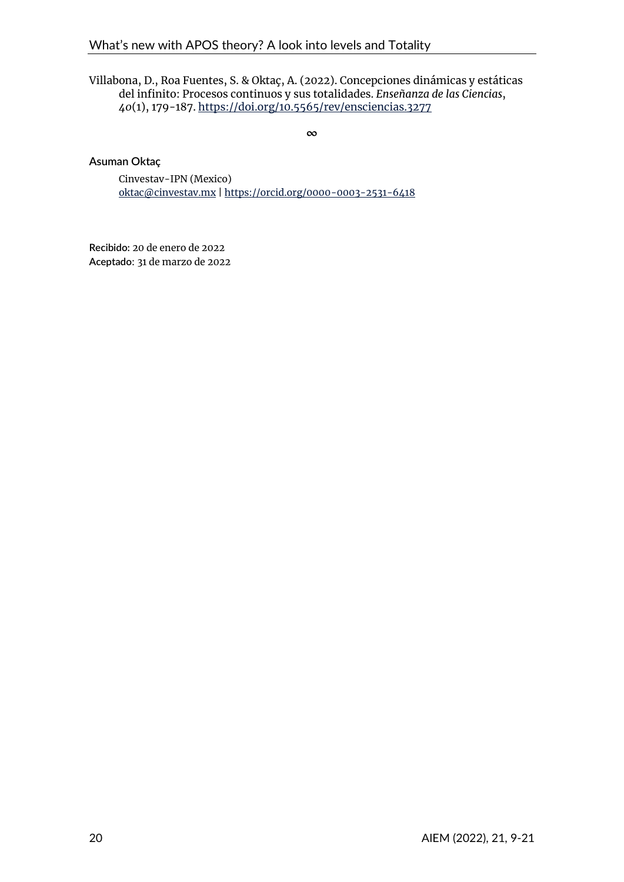#### Villabona, D., Roa Fuentes, S. & Oktaç, A. (2022). Concepciones dinámicas y estáticas del infinito: Procesos continuos y sus totalidades. *Enseñanza de las Ciencias*, *40*(1), 179-187. <https://doi.org/10.5565/rev/ensciencias.3277>

**∞**

#### **Asuman Oktaç**

Cinvestav-IPN (Mexico) [oktac@cinvestav.mx](mailto:oktac@cinvestav.mx) | <https://orcid.org/0000-0003-2531-6418>

**Recibido:** 20 de enero de 2022 **Aceptado**: 31 de marzo de 2022